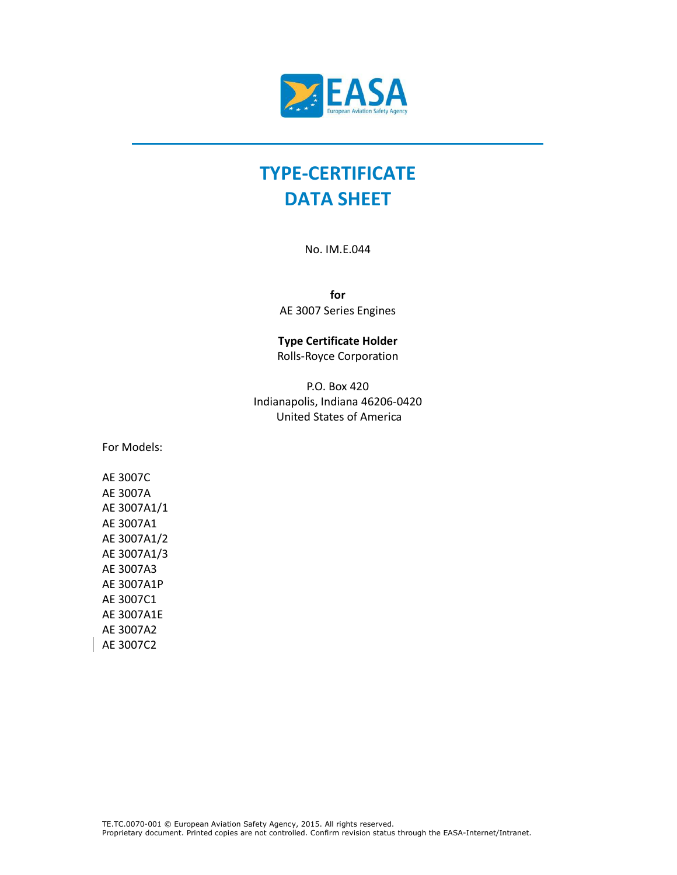

# **TYPE-CERTIFICATE DATA SHEET**

No. IM.E.044

**for**  AE 3007 Series Engines

# **Type Certificate Holder**

Rolls-Royce Corporation

P.O. Box 420 Indianapolis, Indiana 46206-0420 United States of America

For Models:

AE 3007C AE 3007A AE 3007A1/1 AE 3007A1 AE 3007A1/2 AE 3007A1/3 AE 3007A3 AE 3007A1P AE 3007C1 AE 3007A1E AE 3007A2 AE 3007C2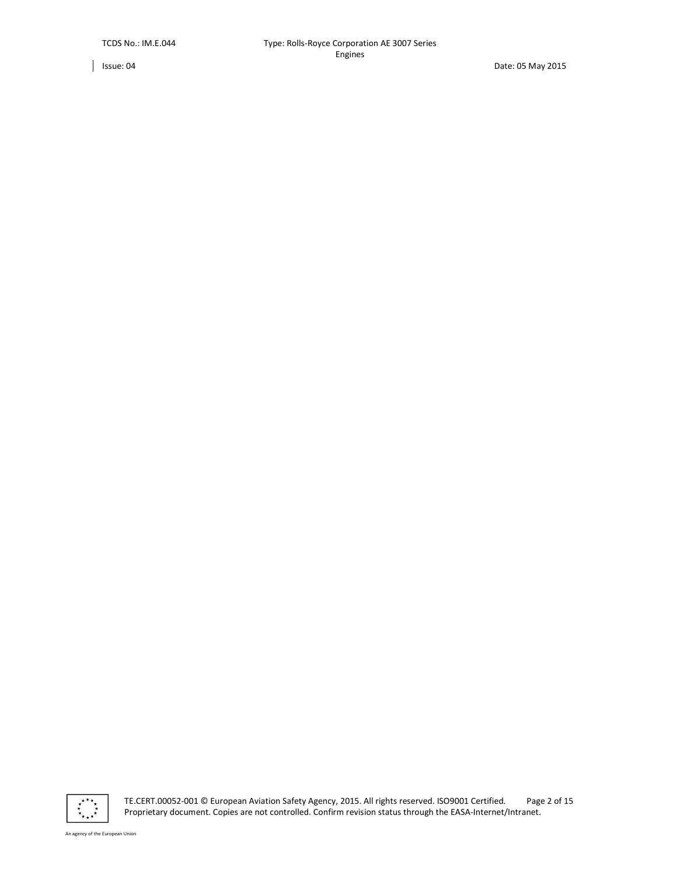Issue: 04 Date: 05 May 2015



TE.CERT.00052-001 © European Aviation Safety Agency, 2015. All rights reserved. ISO9001 Certified. Page 2 of 15 Proprietary document. Copies are not controlled. Confirm revision status through the EASA-Internet/Intranet.

An agency of the European Union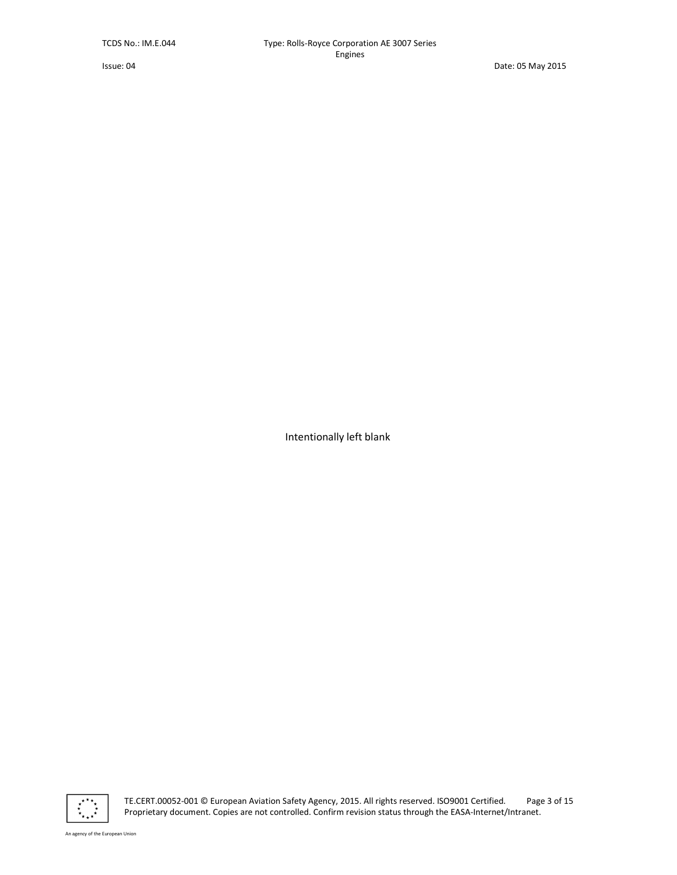Issue: 04 Date: 05 May 2015

Intentionally left blank



TE.CERT.00052-001 © European Aviation Safety Agency, 2015. All rights reserved. ISO9001 Certified. Page 3 of 15 Proprietary document. Copies are not controlled. Confirm revision status through the EASA-Internet/Intranet.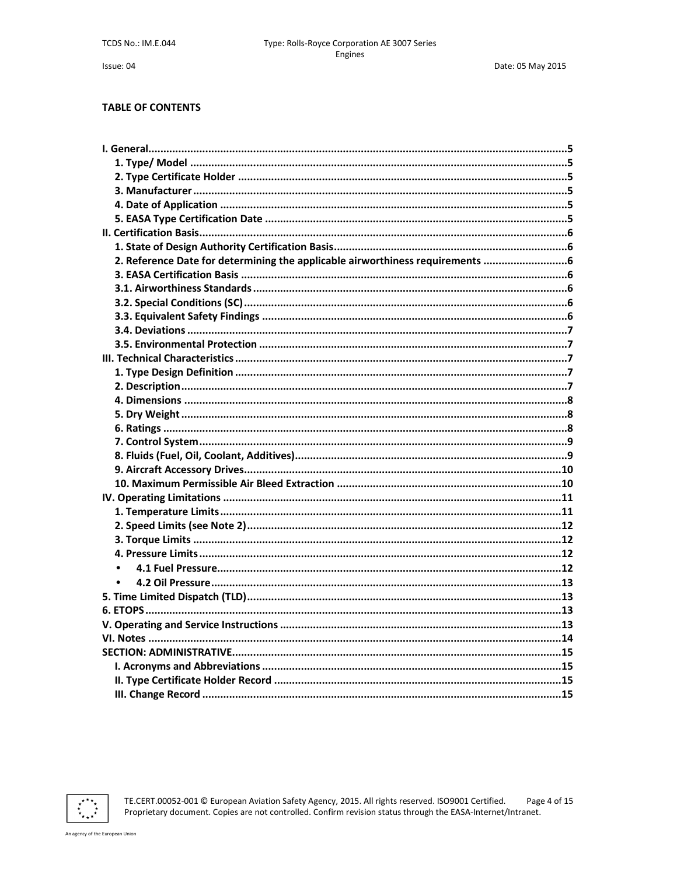Issue: 04

# **TABLE OF CONTENTS**

| 2. Reference Date for determining the applicable airworthiness requirements 6 |  |
|-------------------------------------------------------------------------------|--|
|                                                                               |  |
|                                                                               |  |
|                                                                               |  |
|                                                                               |  |
|                                                                               |  |
|                                                                               |  |
|                                                                               |  |
|                                                                               |  |
|                                                                               |  |
|                                                                               |  |
|                                                                               |  |
|                                                                               |  |
|                                                                               |  |
|                                                                               |  |
|                                                                               |  |
|                                                                               |  |
|                                                                               |  |
|                                                                               |  |
|                                                                               |  |
|                                                                               |  |
|                                                                               |  |
|                                                                               |  |
| $\bullet$                                                                     |  |
|                                                                               |  |
|                                                                               |  |
|                                                                               |  |
|                                                                               |  |
|                                                                               |  |
|                                                                               |  |
|                                                                               |  |
|                                                                               |  |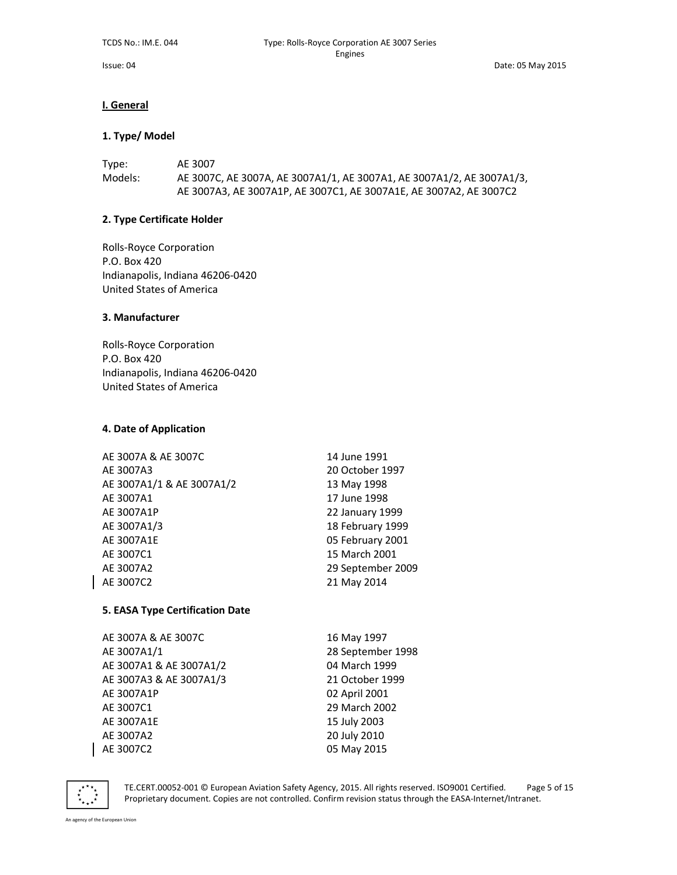# **I. General**

# **1. Type/ Model**

Type: AE 3007 Models: AE 3007C, AE 3007A, AE 3007A1/1, AE 3007A1, AE 3007A1/2, AE 3007A1/3, AE 3007A3, AE 3007A1P, AE 3007C1, AE 3007A1E, AE 3007A2, AE 3007C2

# **2. Type Certificate Holder**

Rolls-Royce Corporation P.O. Box 420 Indianapolis, Indiana 46206-0420 United States of America

# **3. Manufacturer**

Rolls-Royce Corporation P.O. Box 420 Indianapolis, Indiana 46206-0420 United States of America

#### **4. Date of Application**

| AE 3007A & AE 3007C       | 14 June 1991      |
|---------------------------|-------------------|
| AE 3007A3                 | 20 October 1997   |
| AE 3007A1/1 & AE 3007A1/2 | 13 May 1998       |
| AE 3007A1                 | 17 June 1998      |
| AE 3007A1P                | 22 January 1999   |
| AE 3007A1/3               | 18 February 1999  |
| AE 3007A1E                | 05 February 2001  |
| AE 3007C1                 | 15 March 2001     |
| AE 3007A2                 | 29 September 2009 |
| AE 3007C2                 | 21 May 2014       |

#### **5. EASA Type Certification Date**

| AE 3007A & AE 3007C     | 16 May 1997       |
|-------------------------|-------------------|
| AE 3007A1/1             | 28 September 1998 |
| AE 3007A1 & AE 3007A1/2 | 04 March 1999     |
| AE 3007A3 & AE 3007A1/3 | 21 October 1999   |
| AE 3007A1P              | 02 April 2001     |
| AE 3007C1               | 29 March 2002     |
| AE 3007A1E              | 15 July 2003      |
| AE 3007A2               | 20 July 2010      |
| AE 3007C2               | 05 May 2015       |



TE.CERT.00052-001 © European Aviation Safety Agency, 2015. All rights reserved. ISO9001 Certified. Page 5 of 15 Proprietary document. Copies are not controlled. Confirm revision status through the EASA-Internet/Intranet.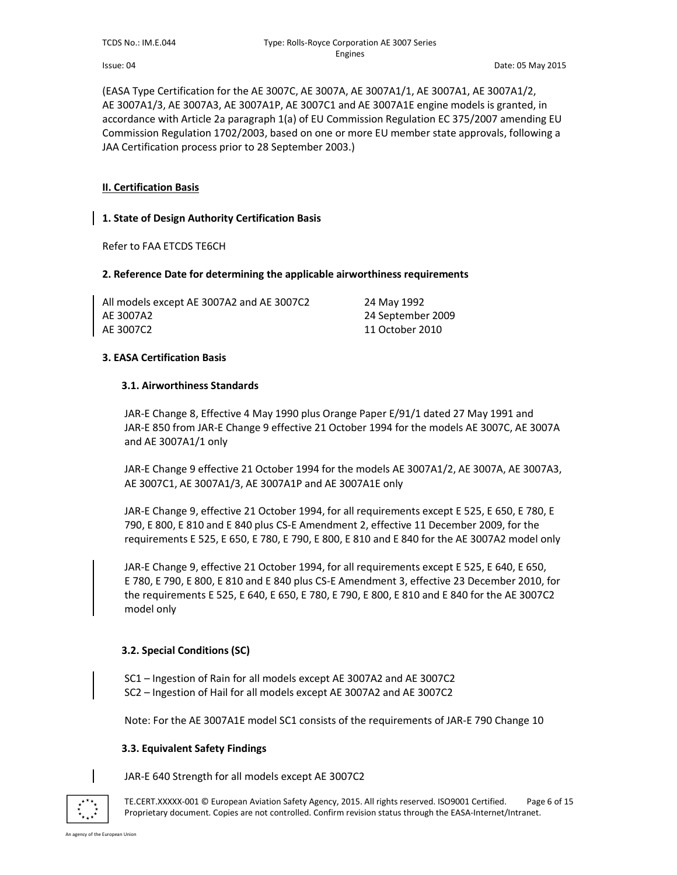(EASA Type Certification for the AE 3007C, AE 3007A, AE 3007A1/1, AE 3007A1, AE 3007A1/2, AE 3007A1/3, AE 3007A3, AE 3007A1P, AE 3007C1 and AE 3007A1E engine models is granted, in accordance with Article 2a paragraph 1(a) of EU Commission Regulation EC 375/2007 amending EU Commission Regulation 1702/2003, based on one or more EU member state approvals, following a JAA Certification process prior to 28 September 2003.)

# **II. Certification Basis**

#### **1. State of Design Authority Certification Basis**

Refer to FAA ETCDS TE6CH

#### **2. Reference Date for determining the applicable airworthiness requirements**

| All models except AE 3007A2 and AE 3007C2 | 24 May 1992       |
|-------------------------------------------|-------------------|
| AE 3007A2                                 | 24 September 2009 |
| AE 3007C2                                 | 11 October 2010   |

#### **3. EASA Certification Basis**

#### **3.1. Airworthiness Standards**

JAR-E Change 8, Effective 4 May 1990 plus Orange Paper E/91/1 dated 27 May 1991 and JAR-E 850 from JAR-E Change 9 effective 21 October 1994 for the models AE 3007C, AE 3007A and AE 3007A1/1 only

JAR-E Change 9 effective 21 October 1994 for the models AE 3007A1/2, AE 3007A, AE 3007A3, AE 3007C1, AE 3007A1/3, AE 3007A1P and AE 3007A1E only

JAR-E Change 9, effective 21 October 1994, for all requirements except E 525, E 650, E 780, E 790, E 800, E 810 and E 840 plus CS-E Amendment 2, effective 11 December 2009, for the requirements E 525, E 650, E 780, E 790, E 800, E 810 and E 840 for the AE 3007A2 model only

JAR-E Change 9, effective 21 October 1994, for all requirements except E 525, E 640, E 650, E 780, E 790, E 800, E 810 and E 840 plus CS-E Amendment 3, effective 23 December 2010, for the requirements E 525, E 640, E 650, E 780, E 790, E 800, E 810 and E 840 for the AE 3007C2 model only

# **3.2. Special Conditions (SC)**

SC1 – Ingestion of Rain for all models except AE 3007A2 and AE 3007C2 SC2 – Ingestion of Hail for all models except AE 3007A2 and AE 3007C2

Note: For the AE 3007A1E model SC1 consists of the requirements of JAR-E 790 Change 10

#### **3.3. Equivalent Safety Findings**

JAR-E 640 Strength for all models except AE 3007C2



TE.CERT.XXXXX-001 © European Aviation Safety Agency, 2015. All rights reserved. ISO9001 Certified. Page 6 of 15 Proprietary document. Copies are not controlled. Confirm revision status through the EASA-Internet/Intranet.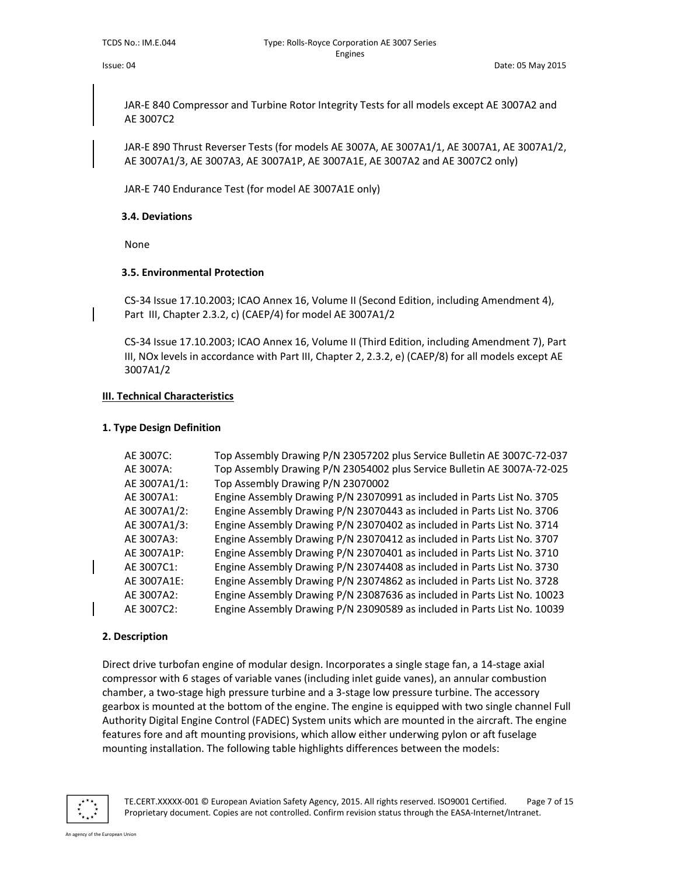JAR-E 840 Compressor and Turbine Rotor Integrity Tests for all models except AE 3007A2 and AE 3007C2

JAR-E 890 Thrust Reverser Tests (for models AE 3007A, AE 3007A1/1, AE 3007A1, AE 3007A1/2, AE 3007A1/3, AE 3007A3, AE 3007A1P, AE 3007A1E, AE 3007A2 and AE 3007C2 only)

JAR-E 740 Endurance Test (for model AE 3007A1E only)

#### **3.4. Deviations**

None

#### **3.5. Environmental Protection**

CS-34 Issue 17.10.2003; ICAO Annex 16, Volume II (Second Edition, including Amendment 4), Part III, Chapter 2.3.2, c) (CAEP/4) for model AE 3007A1/2

CS-34 Issue 17.10.2003; ICAO Annex 16, Volume II (Third Edition, including Amendment 7), Part III, NOx levels in accordance with Part III, Chapter 2, 2.3.2, e) (CAEP/8) for all models except AE 3007A1/2

#### **III. Technical Characteristics**

#### **1. Type Design Definition**

| AE 3007C:    | Top Assembly Drawing P/N 23057202 plus Service Bulletin AE 3007C-72-037  |
|--------------|--------------------------------------------------------------------------|
|              |                                                                          |
| AE 3007A:    | Top Assembly Drawing P/N 23054002 plus Service Bulletin AE 3007A-72-025  |
| AE 3007A1/1: | Top Assembly Drawing P/N 23070002                                        |
| AE 3007A1:   | Engine Assembly Drawing P/N 23070991 as included in Parts List No. 3705  |
| AE 3007A1/2: | Engine Assembly Drawing P/N 23070443 as included in Parts List No. 3706  |
| AE 3007A1/3: | Engine Assembly Drawing P/N 23070402 as included in Parts List No. 3714  |
| AE 3007A3:   | Engine Assembly Drawing P/N 23070412 as included in Parts List No. 3707  |
| AE 3007A1P:  | Engine Assembly Drawing P/N 23070401 as included in Parts List No. 3710  |
| AE 3007C1:   | Engine Assembly Drawing P/N 23074408 as included in Parts List No. 3730  |
| AE 3007A1E:  | Engine Assembly Drawing P/N 23074862 as included in Parts List No. 3728  |
| AE 3007A2:   | Engine Assembly Drawing P/N 23087636 as included in Parts List No. 10023 |
| AE 3007C2:   | Engine Assembly Drawing P/N 23090589 as included in Parts List No. 10039 |

# **2. Description**

Direct drive turbofan engine of modular design. Incorporates a single stage fan, a 14-stage axial compressor with 6 stages of variable vanes (including inlet guide vanes), an annular combustion chamber, a two-stage high pressure turbine and a 3-stage low pressure turbine. The accessory gearbox is mounted at the bottom of the engine. The engine is equipped with two single channel Full Authority Digital Engine Control (FADEC) System units which are mounted in the aircraft. The engine features fore and aft mounting provisions, which allow either underwing pylon or aft fuselage mounting installation. The following table highlights differences between the models:



TE.CERT.XXXXX-001 © European Aviation Safety Agency, 2015. All rights reserved. ISO9001 Certified. Page 7 of 15 Proprietary document. Copies are not controlled. Confirm revision status through the EASA-Internet/Intranet.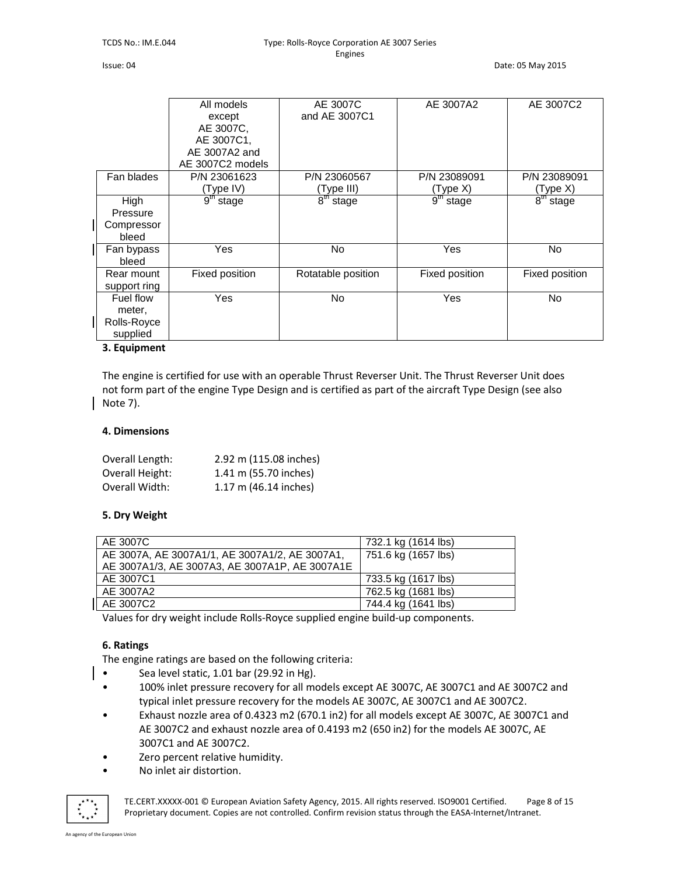|                                                | All models<br>except<br>AE 3007C,<br>AE 3007C1,<br>AE 3007A2 and<br>AE 3007C2 models | AE 3007C<br>and AE 3007C1  | AE 3007A2                | AE 3007C2                |
|------------------------------------------------|--------------------------------------------------------------------------------------|----------------------------|--------------------------|--------------------------|
| Fan blades                                     | P/N 23061623<br>(Type IV)                                                            | P/N 23060567<br>(Type III) | P/N 23089091<br>(Type X) | P/N 23089091<br>(Type X) |
| High<br>Pressure<br>Compressor<br>bleed        | $9th$ stage                                                                          | $8th$ stage                | $9th$ stage              | $8th$ stage              |
| Fan bypass<br>bleed                            | Yes                                                                                  | No.                        | Yes                      | No.                      |
| Rear mount<br>support ring                     | Fixed position                                                                       | Rotatable position         | Fixed position           | Fixed position           |
| Fuel flow<br>meter,<br>Rolls-Royce<br>supplied | Yes                                                                                  | No.                        | Yes                      | No.                      |

#### **3. Equipment**

The engine is certified for use with an operable Thrust Reverser Unit. The Thrust Reverser Unit does not form part of the engine Type Design and is certified as part of the aircraft Type Design (see also Note 7).

#### **4. Dimensions**

| Overall Length: | 2.92 m (115.08 inches) |
|-----------------|------------------------|
| Overall Height: | 1.41 m (55.70 inches)  |
| Overall Width:  | 1.17 m (46.14 inches)  |

#### **5. Dry Weight**

| AE 3007C                                       | 732.1 kg (1614 lbs) |
|------------------------------------------------|---------------------|
| AE 3007A, AE 3007A1/1, AE 3007A1/2, AE 3007A1, | 751.6 kg (1657 lbs) |
| AE 3007A1/3, AE 3007A3, AE 3007A1P, AE 3007A1E |                     |
| AE 3007C1                                      | 733.5 kg (1617 lbs) |
| AE 3007A2                                      | 762.5 kg (1681 lbs) |
| AE 3007C2                                      | 744.4 kg (1641 lbs) |

Values for dry weight include Rolls-Royce supplied engine build-up components.

# **6. Ratings**

The engine ratings are based on the following criteria:

- Sea level static, 1.01 bar (29.92 in Hg).
- 100% inlet pressure recovery for all models except AE 3007C, AE 3007C1 and AE 3007C2 and typical inlet pressure recovery for the models AE 3007C, AE 3007C1 and AE 3007C2.
- Exhaust nozzle area of 0.4323 m2 (670.1 in2) for all models except AE 3007C, AE 3007C1 and AE 3007C2 and exhaust nozzle area of 0.4193 m2 (650 in2) for the models AE 3007C, AE 3007C1 and AE 3007C2.
- Zero percent relative humidity.
- No inlet air distortion.



TE.CERT.XXXXX-001 © European Aviation Safety Agency, 2015. All rights reserved. ISO9001 Certified. Page 8 of 15 Proprietary document. Copies are not controlled. Confirm revision status through the EASA-Internet/Intranet.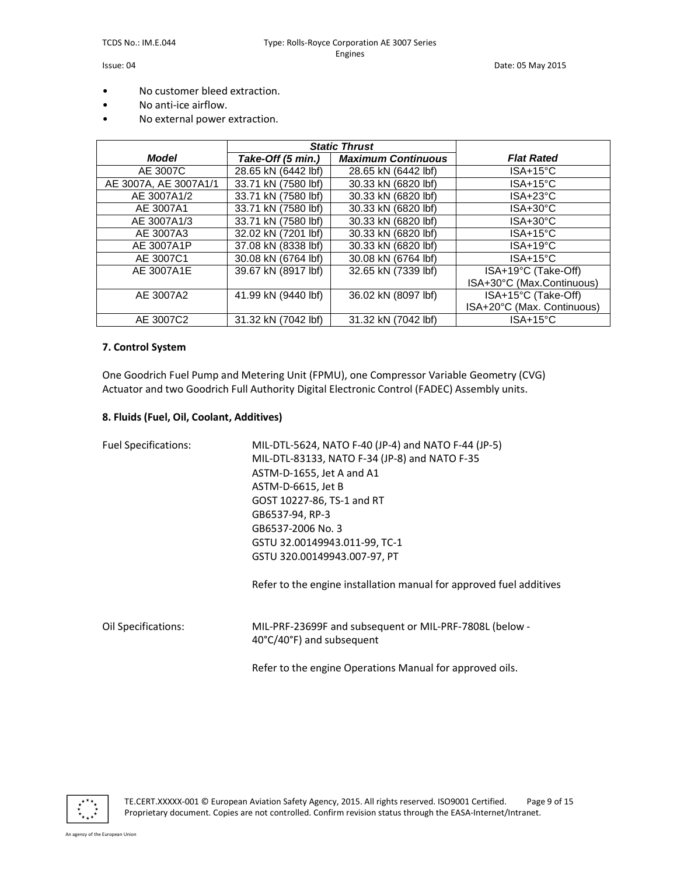Issue: 04 Date: 05 May 2015

- No customer bleed extraction.
- No anti-ice airflow.
- No external power extraction.

|                       | <b>Static Thrust</b> |                           |                            |
|-----------------------|----------------------|---------------------------|----------------------------|
| Model                 | Take-Off (5 min.)    | <b>Maximum Continuous</b> | <b>Flat Rated</b>          |
| AE 3007C              | 28.65 kN (6442 lbf)  | 28.65 kN (6442 lbf)       | $ISA+15^{\circ}C$          |
| AE 3007A, AE 3007A1/1 | 33.71 kN (7580 lbf)  | 30.33 kN (6820 lbf)       | $ISA+15^{\circ}C$          |
| AE 3007A1/2           | 33.71 kN (7580 lbf)  | 30.33 kN (6820 lbf)       | $ISA+23°C$                 |
| AE 3007A1             | 33.71 kN (7580 lbf)  | 30.33 kN (6820 lbf)       | $ISA+30^{\circ}C$          |
| AE 3007A1/3           | 33.71 kN (7580 lbf)  | 30.33 kN (6820 lbf)       | $ISA+30^{\circ}C$          |
| AE 3007A3             | 32.02 kN (7201 lbf)  | 30.33 kN (6820 lbf)       | $ISA+15^{\circ}C$          |
| AE 3007A1P            | 37.08 kN (8338 lbf)  | 30.33 kN (6820 lbf)       | $ISA+19^{\circ}C$          |
| AE 3007C1             | 30.08 kN (6764 lbf)  | 30.08 kN (6764 lbf)       | $ISA+15^{\circ}C$          |
| AE 3007A1E            | 39.67 kN (8917 lbf)  | 32.65 kN (7339 lbf)       | ISA+19°C (Take-Off)        |
|                       |                      |                           | ISA+30°C (Max.Continuous)  |
| AE 3007A2             | 41.99 kN (9440 lbf)  | 36.02 kN (8097 lbf)       | ISA+15°C (Take-Off)        |
|                       |                      |                           | ISA+20°C (Max. Continuous) |
| AE 3007C2             | 31.32 kN (7042 lbf)  | 31.32 kN (7042 lbf)       | $ISA+15^{\circ}C$          |

#### **7. Control System**

One Goodrich Fuel Pump and Metering Unit (FPMU), one Compressor Variable Geometry (CVG) Actuator and two Goodrich Full Authority Digital Electronic Control (FADEC) Assembly units.

#### **8. Fluids (Fuel, Oil, Coolant, Additives)**

| <b>Fuel Specifications:</b> | MIL-DTL-5624, NATO F-40 (JP-4) and NATO F-44 (JP-5)<br>MIL-DTL-83133, NATO F-34 (JP-8) and NATO F-35<br>ASTM-D-1655, Jet A and A1<br>ASTM-D-6615, Jet B<br>GOST 10227-86, TS-1 and RT<br>GB6537-94, RP-3<br>GB6537-2006 No. 3<br>GSTU 32.00149943.011-99, TC-1<br>GSTU 320.00149943.007-97, PT |
|-----------------------------|------------------------------------------------------------------------------------------------------------------------------------------------------------------------------------------------------------------------------------------------------------------------------------------------|
|                             | Refer to the engine installation manual for approved fuel additives                                                                                                                                                                                                                            |
| Oil Specifications:         | MIL-PRF-23699F and subsequent or MIL-PRF-7808L (below -<br>40°C/40°F) and subsequent                                                                                                                                                                                                           |
|                             | Refer to the engine Operations Manual for approved oils.                                                                                                                                                                                                                                       |



TE.CERT.XXXXX-001 © European Aviation Safety Agency, 2015. All rights reserved. ISO9001 Certified. Page 9 of 15 Proprietary document. Copies are not controlled. Confirm revision status through the EASA-Internet/Intranet.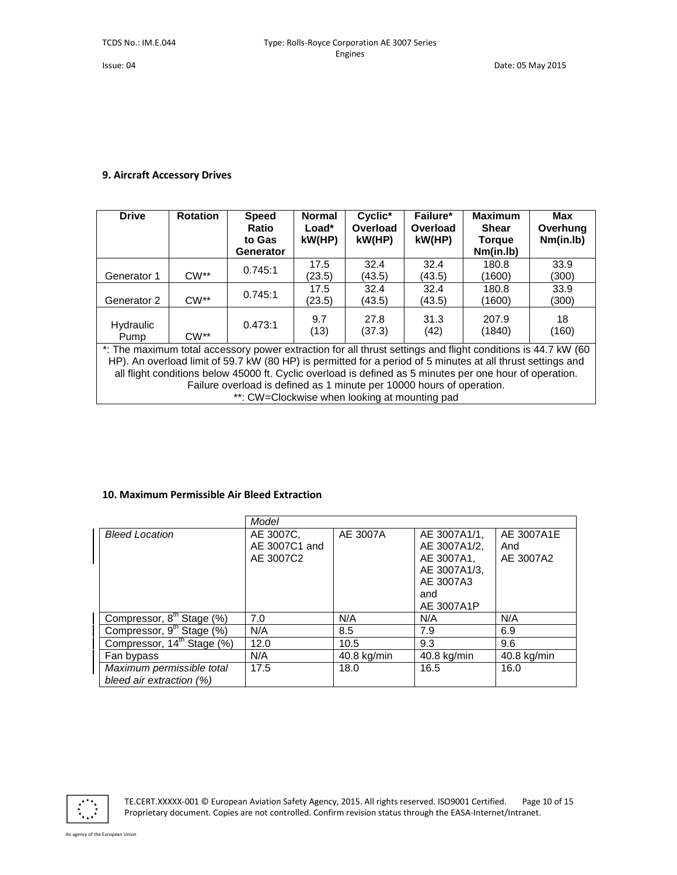# **9. Aircraft Accessory Drives**

| <b>Drive</b>                                                                                                                                                                                                                 | <b>Rotation</b> | <b>Speed</b><br>Ratio<br>to Gas<br><b>Generator</b> | <b>Normal</b><br>Load*<br>kW(HP) | Cyclic*<br>Overload<br>kW(HP) | Failure*<br>Overload<br>kW(HP) | <b>Maximum</b><br><b>Shear</b><br><b>Torque</b><br>Nm(in.lb) | Max<br>Overhung<br>Nm(in.lb) |
|------------------------------------------------------------------------------------------------------------------------------------------------------------------------------------------------------------------------------|-----------------|-----------------------------------------------------|----------------------------------|-------------------------------|--------------------------------|--------------------------------------------------------------|------------------------------|
| Generator 1                                                                                                                                                                                                                  | $CW^{**}$       | 0.745:1                                             | 17.5<br>(23.5)                   | 32.4<br>(43.5)                | 32.4<br>(43.5)                 | 180.8<br>(1600)                                              | 33.9<br>(300)                |
| Generator 2                                                                                                                                                                                                                  | $CW^{**}$       | 0.745:1                                             | 17.5<br>(23.5)                   | 32.4<br>(43.5)                | 32.4<br>(43.5)                 | 180.8<br>(1600)                                              | 33.9<br>(300)                |
| Hydraulic<br>Pump                                                                                                                                                                                                            | $CW^{**}$       | 0.473:1                                             | 9.7<br>(13)                      | 27.8<br>(37.3)                | 31.3<br>(42)                   | 207.9<br>(1840)                                              | 18<br>(160)                  |
| *: The maximum total accessory power extraction for all thrust settings and flight conditions is 44.7 kW (60)<br>HP). An overload limit of 59.7 kW (80 HP) is permitted for a period of 5 minutes at all thrust settings and |                 |                                                     |                                  |                               |                                |                                                              |                              |

all flight conditions below 45000 ft. Cyclic overload is defined as 5 minutes per one hour of operation. Failure overload is defined as 1 minute per 10000 hours of operation. \*\*: CW=Clockwise when looking at mounting pad

# **10. Maximum Permissible Air Bleed Extraction**

|                                                       | Model                                   |               |                                                                                              |                                |
|-------------------------------------------------------|-----------------------------------------|---------------|----------------------------------------------------------------------------------------------|--------------------------------|
| <b>Bleed Location</b>                                 | AE 3007C,<br>AE 3007C1 and<br>AE 3007C2 | AE 3007A      | AE 3007A1/1,<br>AE 3007A1/2,<br>AE 3007A1,<br>AE 3007A1/3,<br>AE 3007A3<br>and<br>AE 3007A1P | AE 3007A1E<br>And<br>AE 3007A2 |
| Compressor, $\overline{8}^{\text{th}}$ Stage (%)      | 7.0                                     | N/A           | N/A                                                                                          | N/A                            |
| Compressor, 9 <sup>th</sup> Stage (%)                 | N/A                                     | 8.5           | 7.9                                                                                          | 6.9                            |
| Compressor, 14 <sup>th</sup> Stage (%)                | 12.0                                    | 10.5          | 9.3                                                                                          | 9.6                            |
| Fan bypass                                            | N/A                                     | $40.8$ kg/min | $40.8$ kg/min                                                                                | $40.8$ kg/min                  |
| Maximum permissible total<br>bleed air extraction (%) | 17.5                                    | 18.0          | 16.5                                                                                         | 16.0                           |



TE.CERT.XXXXX-001 © European Aviation Safety Agency, 2015. All rights reserved. ISO9001 Certified. Page 10 of 15 Proprietary document. Copies are not controlled. Confirm revision status through the EASA-Internet/Intranet.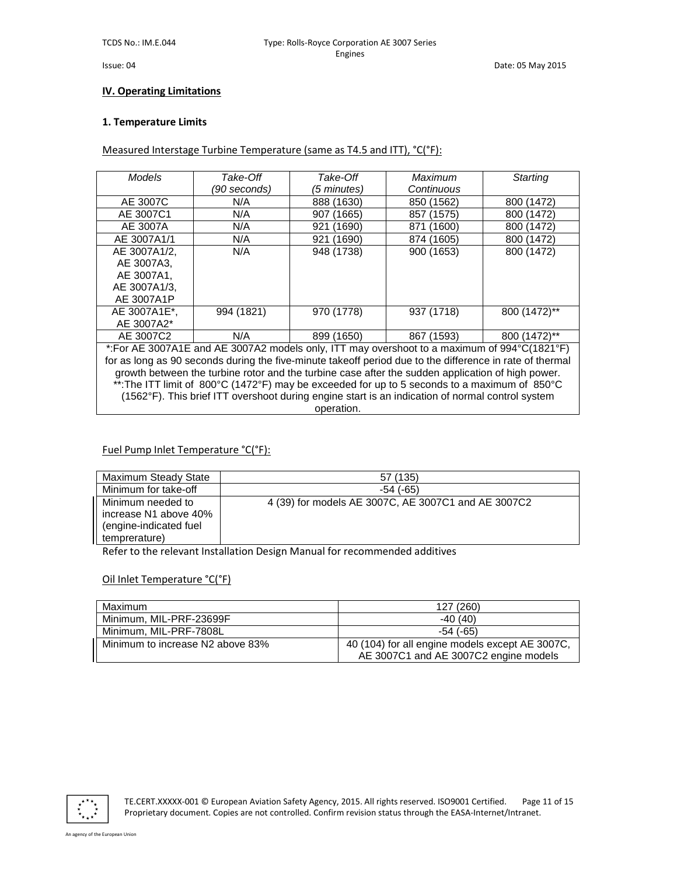#### **IV. Operating Limitations**

# **1. Temperature Limits**

Measured Interstage Turbine Temperature (same as T4.5 and ITT), °C(°F):

| Models                                                                                                   | Take-Off     | Take-Off    | Maximum    | <b>Starting</b> |
|----------------------------------------------------------------------------------------------------------|--------------|-------------|------------|-----------------|
|                                                                                                          | (90 seconds) | (5 minutes) | Continuous |                 |
| AE 3007C                                                                                                 | N/A          | 888 (1630)  | 850 (1562) | 800 (1472)      |
| AE 3007C1                                                                                                | N/A          | 907 (1665)  | 857 (1575) | 800 (1472)      |
| AE 3007A                                                                                                 | N/A          | 921 (1690)  | 871 (1600) | 800 (1472)      |
| AE 3007A1/1                                                                                              | N/A          | 921 (1690)  | 874 (1605) | 800 (1472)      |
| AE 3007A1/2.                                                                                             | N/A          | 948 (1738)  | 900 (1653) | 800 (1472)      |
| AE 3007A3.                                                                                               |              |             |            |                 |
| AE 3007A1.                                                                                               |              |             |            |                 |
| AE 3007A1/3.                                                                                             |              |             |            |                 |
| AE 3007A1P                                                                                               |              |             |            |                 |
| AE 3007A1E*.                                                                                             | 994 (1821)   | 970 (1778)  | 937 (1718) | 800 (1472)**    |
| AE 3007A2*                                                                                               |              |             |            |                 |
| AE 3007C2                                                                                                | N/A          | 899 (1650)  | 867 (1593) | 800 (1472)**    |
| *:For AE 3007A1E and AE 3007A2 models only, ITT may overshoot to a maximum of 994°C(1821°F)              |              |             |            |                 |
| for as long as 90 seconds during the five-minute takeoff period due to the difference in rate of thermal |              |             |            |                 |
| growth between the turbine rotor and the turbine case after the sudden application of high power         |              |             |            |                 |

growth between the turbine rotor and the turbine case after the sudden application of high power. \*\*:The ITT limit of 800°C (1472°F) may be exceeded for up to 5 seconds to a maximum of 850°C (1562°F). This brief ITT overshoot during engine start is an indication of normal control system operation.

# Fuel Pump Inlet Temperature °C(°F):

| Maximum Steady State                                                                  | 57 (135)                                            |
|---------------------------------------------------------------------------------------|-----------------------------------------------------|
| Minimum for take-off                                                                  | $-54$ ( $-65$ )                                     |
| Minimum needed to<br>increase N1 above 40%<br>(engine-indicated fuel<br>temprerature) | 4 (39) for models AE 3007C, AE 3007C1 and AE 3007C2 |

Refer to the relevant Installation Design Manual for recommended additives

#### Oil Inlet Temperature °C(°F)

| Maximum                          | 127 (260)                                       |  |
|----------------------------------|-------------------------------------------------|--|
| Minimum. MIL-PRF-23699F          | $-40(40)$                                       |  |
| Minimum. MIL-PRF-7808L           | $-54$ ( $-65$ )                                 |  |
| Minimum to increase N2 above 83% | 40 (104) for all engine models except AE 3007C, |  |
|                                  | AE 3007C1 and AE 3007C2 engine models           |  |



TE.CERT.XXXXX-001 © European Aviation Safety Agency, 2015. All rights reserved. ISO9001 Certified. Page 11 of 15 Proprietary document. Copies are not controlled. Confirm revision status through the EASA-Internet/Intranet.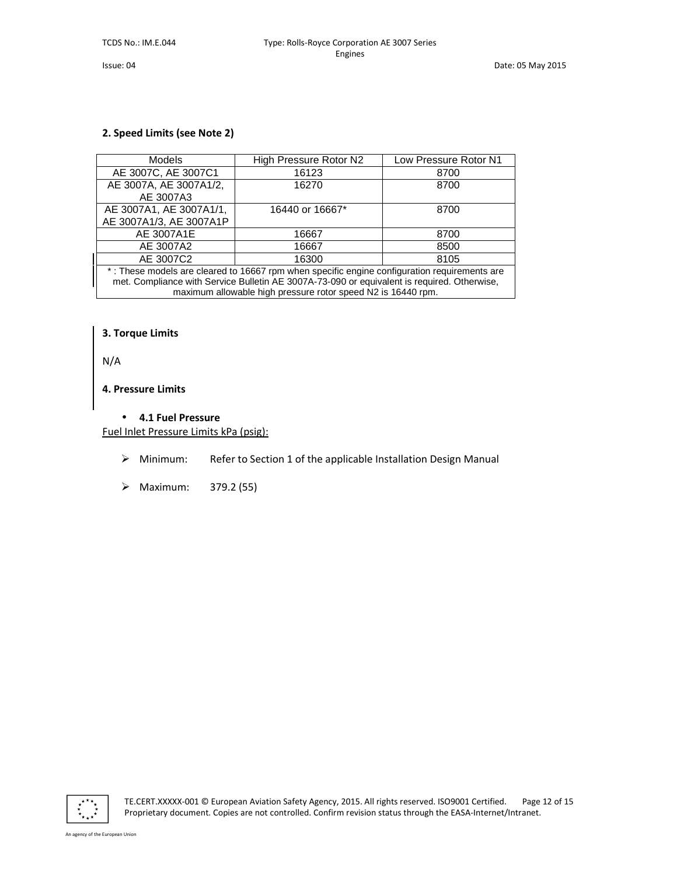# **2. Speed Limits (see Note 2)**

| Models                                                                                       | High Pressure Rotor N2 | Low Pressure Rotor N1 |  |
|----------------------------------------------------------------------------------------------|------------------------|-----------------------|--|
| AE 3007C, AE 3007C1                                                                          | 16123                  | 8700                  |  |
| AE 3007A, AE 3007A1/2,<br>AE 3007A3                                                          | 16270                  | 8700                  |  |
| AE 3007A1, AE 3007A1/1,                                                                      | 16440 or 16667*        | 8700                  |  |
| AE 3007A1/3, AE 3007A1P                                                                      |                        |                       |  |
| AE 3007A1E                                                                                   | 16667                  | 8700                  |  |
| AE 3007A2                                                                                    | 16667                  | 8500                  |  |
| AE 3007C2                                                                                    | 16300                  | 8105                  |  |
| *: These models are cleared to 16667 rpm when specific engine configuration requirements are |                        |                       |  |
| met. Compliance with Service Bulletin AE 3007A-73-090 or equivalent is required. Otherwise,  |                        |                       |  |
| maximum allowable high pressure rotor speed N2 is 16440 rpm.                                 |                        |                       |  |

# **3. Torque Limits**

N/A

# **4. Pressure Limits**

#### • **4.1 Fuel Pressure**

Fuel Inlet Pressure Limits kPa (psig):

- Minimum: Refer to Section 1 of the applicable Installation Design Manual
- Maximum: 379.2 (55)

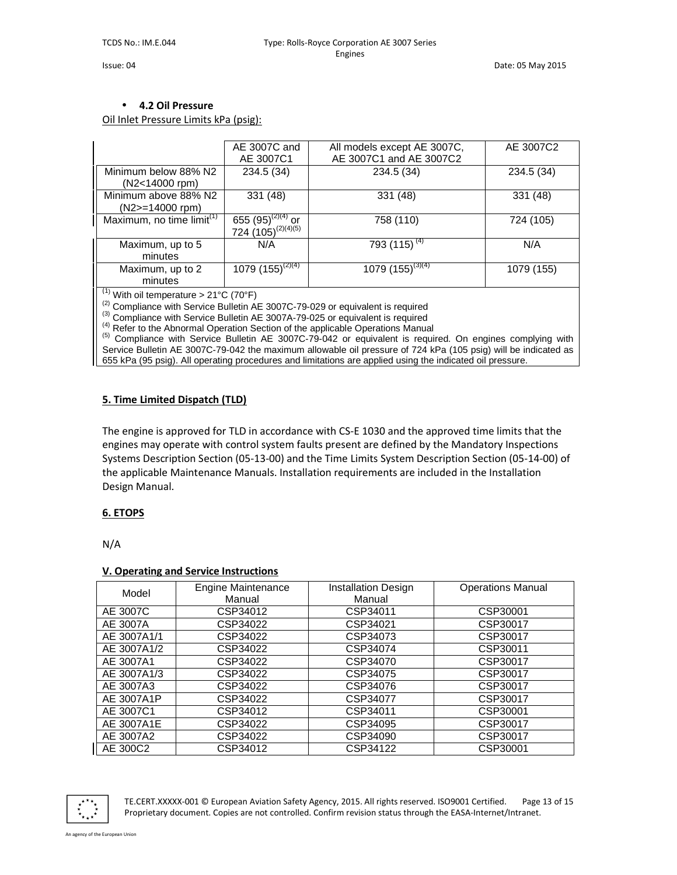# • **4.2 Oil Pressure**

Oil Inlet Pressure Limits kPa (psig):

|                                                             | AE 3007C and                                                    | All models except AE 3007C, | AE 3007C2  |
|-------------------------------------------------------------|-----------------------------------------------------------------|-----------------------------|------------|
|                                                             | AE 3007C1                                                       | AE 3007C1 and AE 3007C2     |            |
| Minimum below 88% N2                                        | 234.5 (34)                                                      | 234.5 (34)                  | 234.5 (34) |
| (N2<14000 rpm)                                              |                                                                 |                             |            |
| Minimum above 88% N2                                        | 331 (48)                                                        | 331 (48)                    | 331 (48)   |
| $(N2>=14000$ rpm)                                           |                                                                 |                             |            |
| Maximum, no time limit <sup>(1)</sup>                       | 655 (95) <sup>(2)(4)</sup> or<br>724 (105) <sup>(2)(4)(5)</sup> | 758 (110)                   | 724 (105)  |
|                                                             |                                                                 |                             |            |
| Maximum, up to 5                                            | N/A                                                             | 793 (115) <sup>(4)</sup>    | N/A        |
| minutes                                                     |                                                                 |                             |            |
| Maximum, up to 2                                            | 1079 $(155)^{(2)(4)}$                                           | 1079 $(155)^{(3)(4)}$       | 1079 (155) |
| minutes                                                     |                                                                 |                             |            |
| <sup>(1)</sup> With oil temperature > $21^{\circ}$ C (70°F) |                                                                 |                             |            |

With oil temperature > 21°C (70°F)

 $^{(2)}$  Compliance with Service Bulletin AE 3007C-79-029 or equivalent is required

(3) Compliance with Service Bulletin AE 3007A-79-025 or equivalent is required

(4) Refer to the Abnormal Operation Section of the applicable Operations Manual

(5) Compliance with Service Bulletin AE 3007C-79-042 or equivalent is required. On engines complying with Service Bulletin AE 3007C-79-042 the maximum allowable oil pressure of 724 kPa (105 psig) will be indicated as 655 kPa (95 psig). All operating procedures and limitations are applied using the indicated oil pressure.

# **5. Time Limited Dispatch (TLD)**

The engine is approved for TLD in accordance with CS-E 1030 and the approved time limits that the engines may operate with control system faults present are defined by the Mandatory Inspections Systems Description Section (05-13-00) and the Time Limits System Description Section (05-14-00) of the applicable Maintenance Manuals. Installation requirements are included in the Installation Design Manual.

#### **6. ETOPS**

N/A

#### **V. Operating and Service Instructions**

| Model       | Engine Maintenance<br>Manual | Installation Design<br>Manual | <b>Operations Manual</b> |
|-------------|------------------------------|-------------------------------|--------------------------|
| AE 3007C    | CSP34012                     | CSP34011                      | CSP30001                 |
| AE 3007A    | CSP34022                     | CSP34021                      | CSP30017                 |
| AE 3007A1/1 | CSP34022                     | CSP34073                      | CSP30017                 |
| AE 3007A1/2 | CSP34022                     | CSP34074                      | CSP30011                 |
| AE 3007A1   | CSP34022                     | CSP34070                      | CSP30017                 |
| AE 3007A1/3 | CSP34022                     | CSP34075                      | CSP30017                 |
| AE 3007A3   | CSP34022                     | CSP34076                      | CSP30017                 |
| AE 3007A1P  | CSP34022                     | CSP34077                      | CSP30017                 |
| AE 3007C1   | CSP34012                     | CSP34011                      | CSP30001                 |
| AE 3007A1E  | CSP34022                     | CSP34095                      | CSP30017                 |
| AE 3007A2   | CSP34022                     | CSP34090                      | CSP30017                 |
| AE 300C2    | CSP34012                     | CSP34122                      | CSP30001                 |



TE.CERT.XXXXX-001 © European Aviation Safety Agency, 2015. All rights reserved. ISO9001 Certified. Page 13 of 15 Proprietary document. Copies are not controlled. Confirm revision status through the EASA-Internet/Intranet.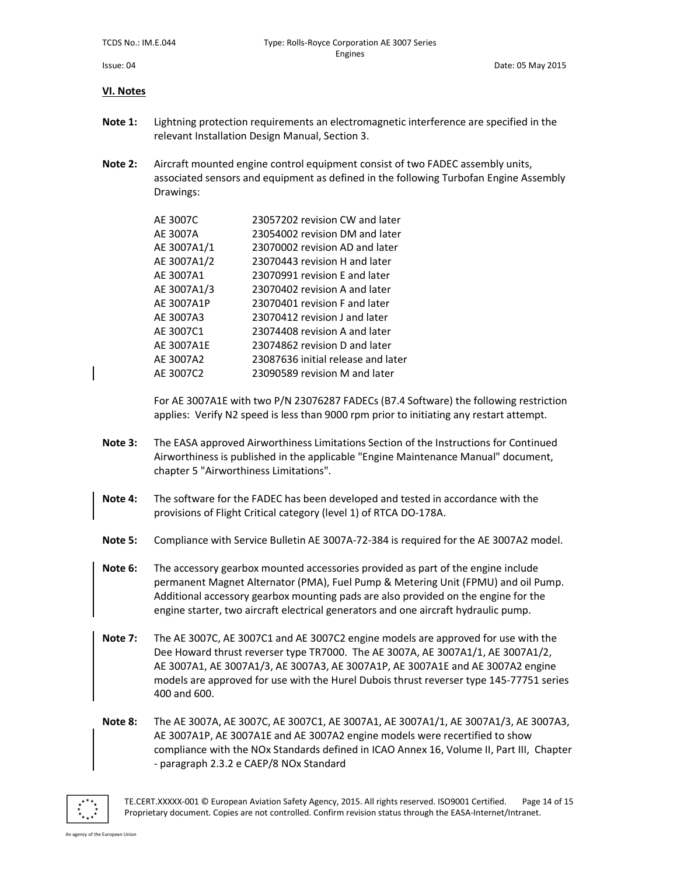# **VI. Notes**

- **Note 1:** Lightning protection requirements an electromagnetic interference are specified in the relevant Installation Design Manual, Section 3.
- **Note 2:** Aircraft mounted engine control equipment consist of two FADEC assembly units, associated sensors and equipment as defined in the following Turbofan Engine Assembly Drawings:

| AE 3007C    | 23057202 revision CW and later     |
|-------------|------------------------------------|
| AE 3007A    | 23054002 revision DM and later     |
| AE 3007A1/1 | 23070002 revision AD and later     |
| AE 3007A1/2 | 23070443 revision H and later      |
| AE 3007A1   | 23070991 revision E and later      |
| AE 3007A1/3 | 23070402 revision A and later      |
| AE 3007A1P  | 23070401 revision F and later      |
| AE 3007A3   | 23070412 revision J and later      |
| AE 3007C1   | 23074408 revision A and later      |
| AE 3007A1E  | 23074862 revision D and later      |
| AE 3007A2   | 23087636 initial release and later |
| AE 3007C2   | 23090589 revision M and later      |

 For AE 3007A1E with two P/N 23076287 FADECs (B7.4 Software) the following restriction applies: Verify N2 speed is less than 9000 rpm prior to initiating any restart attempt.

- **Note 3:** The EASA approved Airworthiness Limitations Section of the Instructions for Continued Airworthiness is published in the applicable "Engine Maintenance Manual" document, chapter 5 "Airworthiness Limitations".
- **Note 4:** The software for the FADEC has been developed and tested in accordance with the provisions of Flight Critical category (level 1) of RTCA DO-178A.
- **Note 5:** Compliance with Service Bulletin AE 3007A-72-384 is required for the AE 3007A2 model.
- **Note 6:** The accessory gearbox mounted accessories provided as part of the engine include permanent Magnet Alternator (PMA), Fuel Pump & Metering Unit (FPMU) and oil Pump. Additional accessory gearbox mounting pads are also provided on the engine for the engine starter, two aircraft electrical generators and one aircraft hydraulic pump.
- **Note 7:** The AE 3007C, AE 3007C1 and AE 3007C2 engine models are approved for use with the Dee Howard thrust reverser type TR7000. The AE 3007A, AE 3007A1/1, AE 3007A1/2, AE 3007A1, AE 3007A1/3, AE 3007A3, AE 3007A1P, AE 3007A1E and AE 3007A2 engine models are approved for use with the Hurel Dubois thrust reverser type 145-77751 series 400 and 600.
- **Note 8:** The AE 3007A, AE 3007C, AE 3007C1, AE 3007A1, AE 3007A1/1, AE 3007A1/3, AE 3007A3, AE 3007A1P, AE 3007A1E and AE 3007A2 engine models were recertified to show compliance with the NOx Standards defined in ICAO Annex 16, Volume II, Part III, Chapter - paragraph 2.3.2 e CAEP/8 NOx Standard



TE.CERT.XXXXX-001 © European Aviation Safety Agency, 2015. All rights reserved. ISO9001 Certified. Page 14 of 15 Proprietary document. Copies are not controlled. Confirm revision status through the EASA-Internet/Intranet.